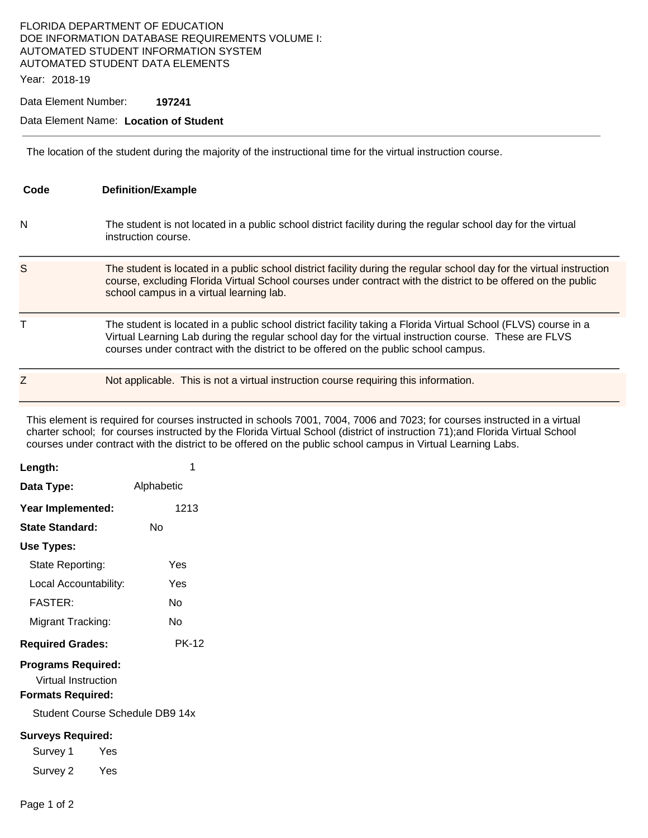## FLORIDA DEPARTMENT OF EDUCATION DOE INFORMATION DATABASE REQUIREMENTS VOLUME I: AUTOMATED STUDENT INFORMATION SYSTEM AUTOMATED STUDENT DATA ELEMENTS

Year: 2018-19

Data Element Number: **197241** 

## Data Element Name: **Location of Student**

The location of the student during the majority of the instructional time for the virtual instruction course.

| Code | <b>Definition/Example</b>                                                                                                                                                                                                                                                                                      |
|------|----------------------------------------------------------------------------------------------------------------------------------------------------------------------------------------------------------------------------------------------------------------------------------------------------------------|
| N    | The student is not located in a public school district facility during the regular school day for the virtual<br>instruction course.                                                                                                                                                                           |
| S    | The student is located in a public school district facility during the regular school day for the virtual instruction<br>course, excluding Florida Virtual School courses under contract with the district to be offered on the public<br>school campus in a virtual learning lab.                             |
| т    | The student is located in a public school district facility taking a Florida Virtual School (FLVS) course in a<br>Virtual Learning Lab during the regular school day for the virtual instruction course. These are FLVS<br>courses under contract with the district to be offered on the public school campus. |
| Z    | Not applicable. This is not a virtual instruction course requiring this information.                                                                                                                                                                                                                           |

This element is required for courses instructed in schools 7001, 7004, 7006 and 7023; for courses instructed in a virtual charter school; for courses instructed by the Florida Virtual School (district of instruction 71);and Florida Virtual School courses under contract with the district to be offered on the public school campus in Virtual Learning Labs.

| Length:                                                                      | 1            |
|------------------------------------------------------------------------------|--------------|
| Data Type:                                                                   | Alphabetic   |
| Year Implemented:                                                            | 1213         |
| <b>State Standard:</b>                                                       | N٥           |
| Use Types:                                                                   |              |
| State Reporting:                                                             | Yes          |
| Local Accountability:                                                        | Yes          |
| <b>FASTER:</b>                                                               | N٥           |
| Migrant Tracking:                                                            | N٥           |
| <b>Required Grades:</b>                                                      | <b>PK-12</b> |
| <b>Programs Required:</b><br>Virtual Instruction<br><b>Formats Required:</b> |              |
| Student Course Schedule DB9 14x                                              |              |
| <b>Surveys Required:</b><br>Survey 1<br>Yes<br>Survey 2 Yes                  |              |
|                                                                              |              |